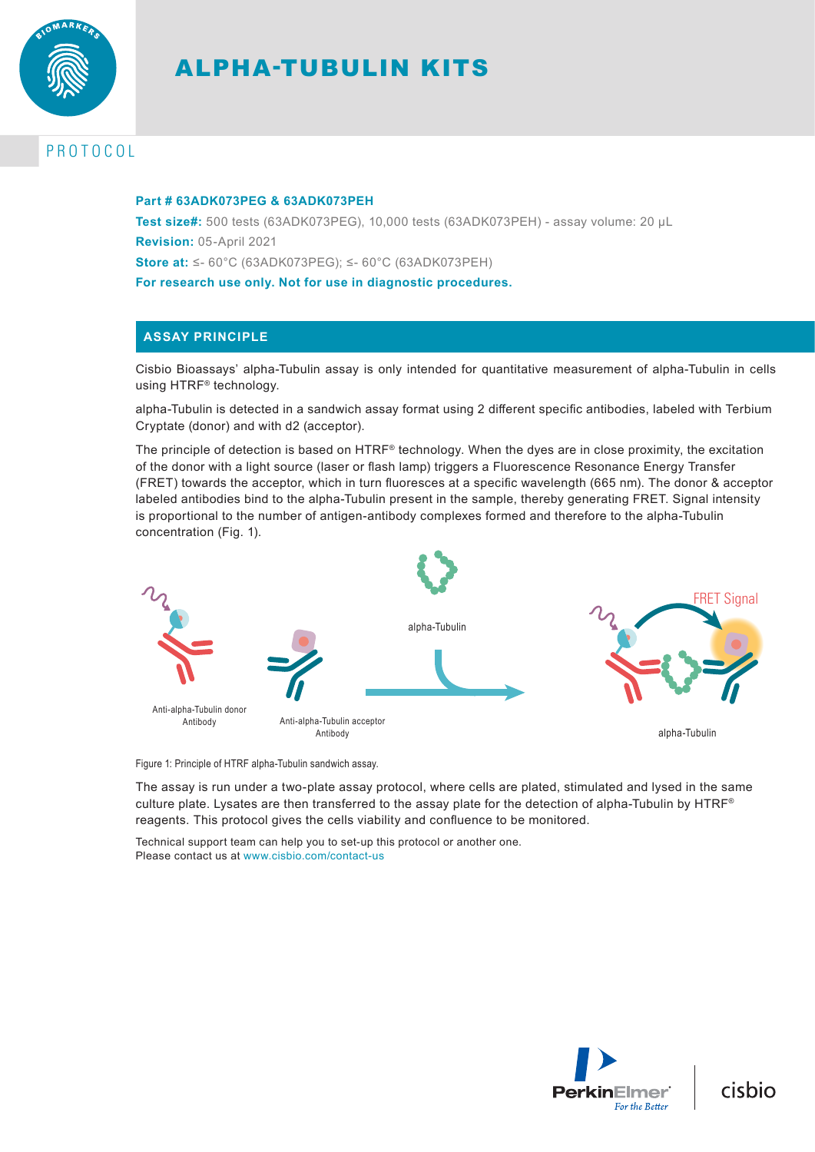

# ALPHA-TUBULIN KITS

# PROTOCOL

#### **Part # 63ADK073PEG & 63ADK073PEH**

**Test size#:** 500 tests (63ADK073PEG), 10,000 tests (63ADK073PEH) - assay volume: 20 µL **Revision:** 05-April 2021 **Store at:** ≤- 60°C (63ADK073PEG); ≤- 60°C (63ADK073PEH) **For research use only. Not for use in diagnostic procedures.**

## **ASSAY PRINCIPLE**

Cisbio Bioassays' alpha-Tubulin assay is only intended for quantitative measurement of alpha-Tubulin in cells using HTRF® technology.

alpha-Tubulin is detected in a sandwich assay format using 2 different specific antibodies, labeled with Terbium Cryptate (donor) and with d2 (acceptor).

The principle of detection is based on HTRF® technology. When the dyes are in close proximity, the excitation of the donor with a light source (laser or flash lamp) triggers a Fluorescence Resonance Energy Transfer (FRET) towards the acceptor, which in turn fluoresces at a specific wavelength (665 nm). The donor & acceptor labeled antibodies bind to the alpha-Tubulin present in the sample, thereby generating FRET. Signal intensity is proportional to the number of antigen-antibody complexes formed and therefore to the alpha-Tubulin concentration (Fig. 1).



Figure 1: Principle of HTRF alpha-Tubulin sandwich assay.

The assay is run under a two-plate assay protocol, where cells are plated, stimulated and lysed in the same culture plate. Lysates are then transferred to the assay plate for the detection of alpha-Tubulin by HTRF® reagents. This protocol gives the cells viability and confluence to be monitored.

Technical support team can help you to set-up this protocol or another one. Please contact us at www.cisbio.com/contact-us



cisbio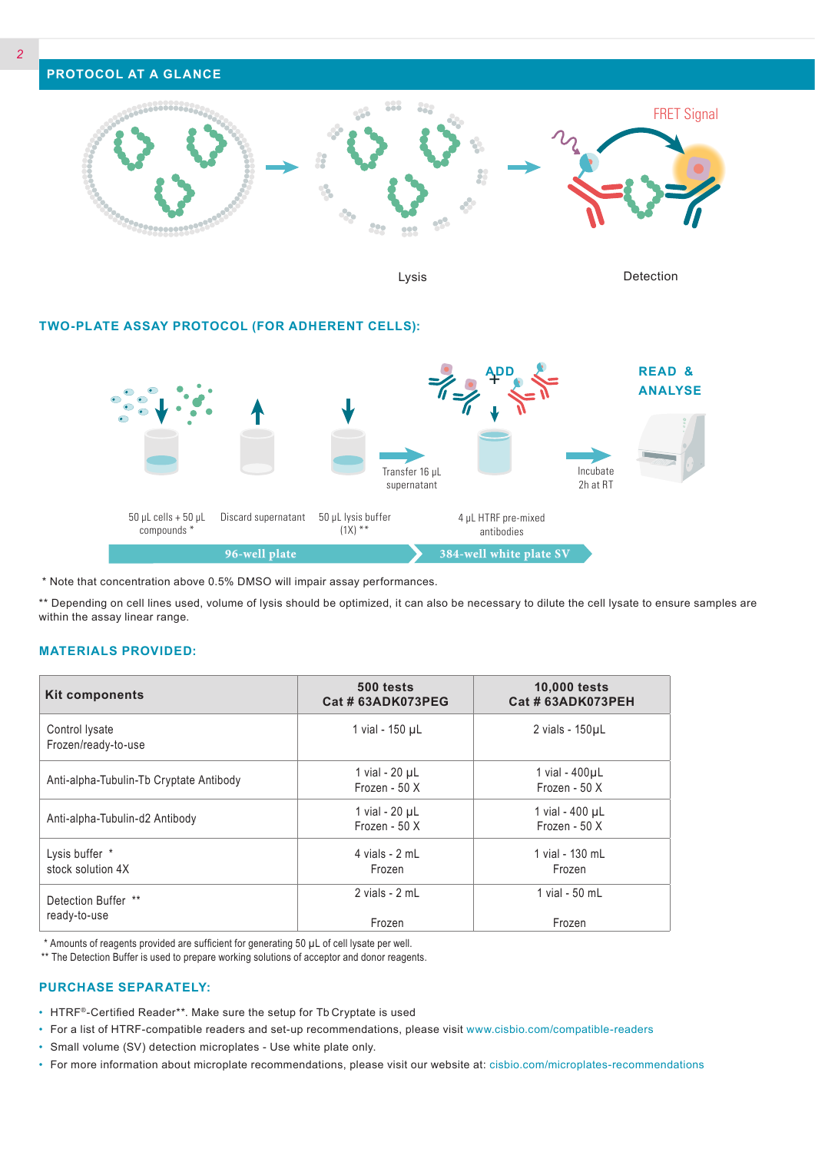

Lysis Detection

#### **TWO-PLATE ASSAY PROTOCOL (FOR ADHERENT CELLS):**



\* Note that concentration above 0.5% DMSO will impair assay performances.

\*\* Depending on cell lines used, volume of lysis should be optimized, it can also be necessary to dilute the cell lysate to ensure samples are within the assay linear range.

#### **MATERIALS PROVIDED:**

| <b>Kit components</b>                   | 500 tests<br>Cat # 63ADK073PEG  | <b>10,000 tests</b><br>Cat # 63ADK073PEH |
|-----------------------------------------|---------------------------------|------------------------------------------|
| Control lysate<br>Frozen/ready-to-use   | 1 vial - 150 µL                 | 2 vials - 150µL                          |
| Anti-alpha-Tubulin-Tb Cryptate Antibody | 1 vial - 20 µL<br>Frozen - 50 X | 1 vial - $400 \mu L$<br>Frozen - 50 X    |
| Anti-alpha-Tubulin-d2 Antibody          | 1 vial - 20 µL<br>Frozen - 50 X | 1 vial - 400 µL<br>Frozen - $50X$        |
| Lysis buffer *<br>stock solution 4X     | 4 vials - 2 mL<br>Frozen        | 1 vial - 130 mL<br>Frozen                |
| Detection Buffer **<br>ready-to-use     | 2 vials - 2 mL<br>Frozen        | 1 vial - 50 mL<br>Frozen                 |

\* Amounts of reagents provided are sufficient for generating 50 µL of cell lysate per well.

\*\* The Detection Buffer is used to prepare working solutions of acceptor and donor reagents.

#### **PURCHASE SEPARATELY:**

- HTRF®-Certified Reader\*\*. Make sure the setup for Tb Cryptate is used
- For a list of HTRF-compatible readers and set-up recommendations, please visit www.cisbio.com/compatible-readers
- Small volume (SV) detection microplates Use white plate only.
- For more information about microplate recommendations, please visit our website at: cisbio.com/microplates-recommendations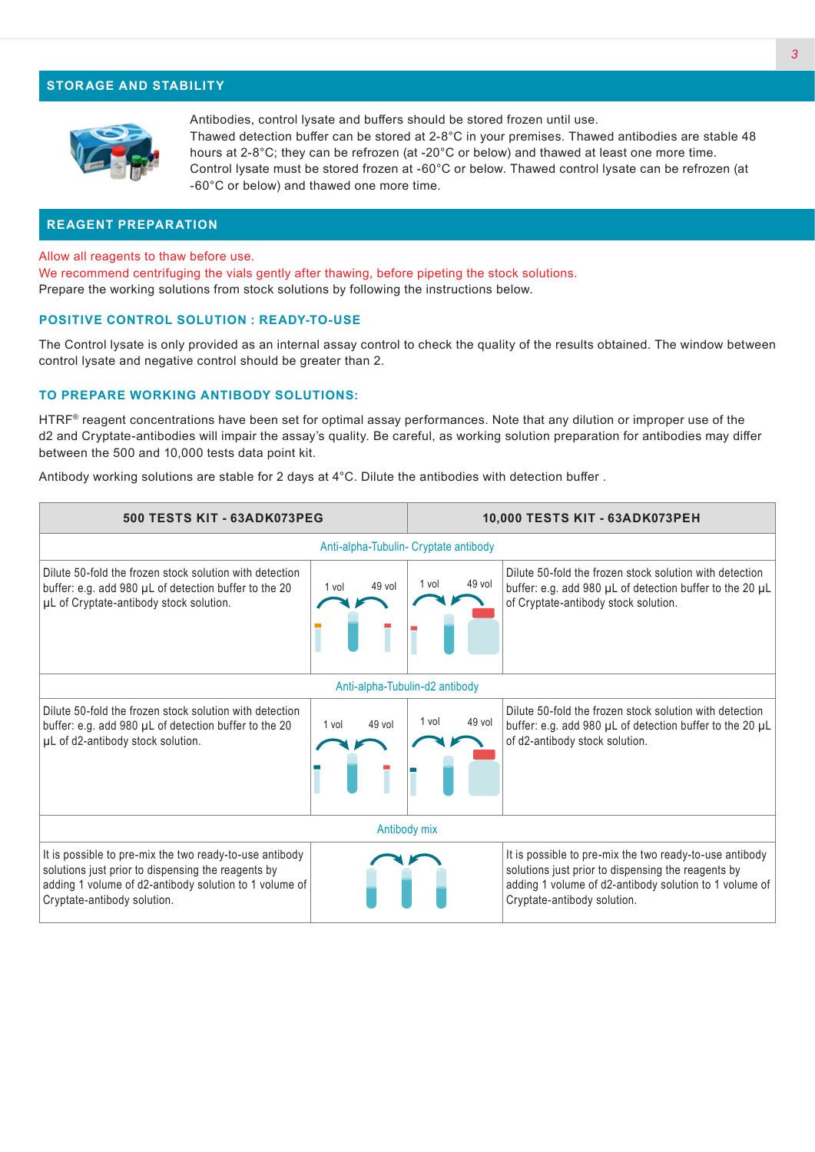#### **STORAGE AND STABILITY**



Antibodies, control lysate and buffers should be stored frozen until use. Thawed detection buffer can be stored at 2-8°C in your premises. Thawed antibodies are stable 48 hours at 2-8°C; they can be refrozen (at -20°C or below) and thawed at least one more time. Control lysate must be stored frozen at -60°C or below. Thawed control lysate can be refrozen (at -60°C or below) and thawed one more time.

#### **REAGENT PREPARATION**

Allow all reagents to thaw before use.

We recommend centrifuging the vials gently after thawing, before pipeting the stock solutions. Prepare the working solutions from stock solutions by following the instructions below.

#### **POSITIVE CONTROL SOLUTION : READY-TO-USE**

The Control lysate is only provided as an internal assay control to check the quality of the results obtained. The window between control lysate and negative control should be greater than 2.

#### **TO PREPARE WORKING ANTIBODY SOLUTIONS:**

HTRF® reagent concentrations have been set for optimal assay performances. Note that any dilution or improper use of the d2 and Cryptate-antibodies will impair the assay's quality. Be careful, as working solution preparation for antibodies may differ between the 500 and 10,000 tests data point kit.

Antibody working solutions are stable for 2 days at 4°C. Dilute the antibodies with detection buffer .

| 500 TESTS KIT - 63ADK073PEG                                                                                                                                                                            |                 | 10,000 TESTS KIT - 63ADK073PEH |                                                                                                                                                                                                        |  |  |
|--------------------------------------------------------------------------------------------------------------------------------------------------------------------------------------------------------|-----------------|--------------------------------|--------------------------------------------------------------------------------------------------------------------------------------------------------------------------------------------------------|--|--|
| Anti-alpha-Tubulin- Cryptate antibody                                                                                                                                                                  |                 |                                |                                                                                                                                                                                                        |  |  |
| Dilute 50-fold the frozen stock solution with detection<br>buffer: e.g. add 980 µL of detection buffer to the 20<br>µL of Cryptate-antibody stock solution.                                            | 49 vol<br>1 vol | 49 vol<br>1 vol                | Dilute 50-fold the frozen stock solution with detection<br>buffer: e.g. add 980 µL of detection buffer to the 20 µL<br>of Cryptate-antibody stock solution.                                            |  |  |
| Anti-alpha-Tubulin-d2 antibody                                                                                                                                                                         |                 |                                |                                                                                                                                                                                                        |  |  |
| Dilute 50-fold the frozen stock solution with detection<br>buffer: e.g. add 980 µL of detection buffer to the 20<br>µL of d2-antibody stock solution.                                                  | 49 vol<br>1 vol | 49 vol<br>1 vol                | Dilute 50-fold the frozen stock solution with detection<br>buffer: e.g. add 980 µL of detection buffer to the 20 µL<br>of d2-antibody stock solution.                                                  |  |  |
| Antibody mix                                                                                                                                                                                           |                 |                                |                                                                                                                                                                                                        |  |  |
| It is possible to pre-mix the two ready-to-use antibody<br>solutions just prior to dispensing the reagents by<br>adding 1 volume of d2-antibody solution to 1 volume of<br>Cryptate-antibody solution. |                 |                                | It is possible to pre-mix the two ready-to-use antibody<br>solutions just prior to dispensing the reagents by<br>adding 1 volume of d2-antibody solution to 1 volume of<br>Cryptate-antibody solution. |  |  |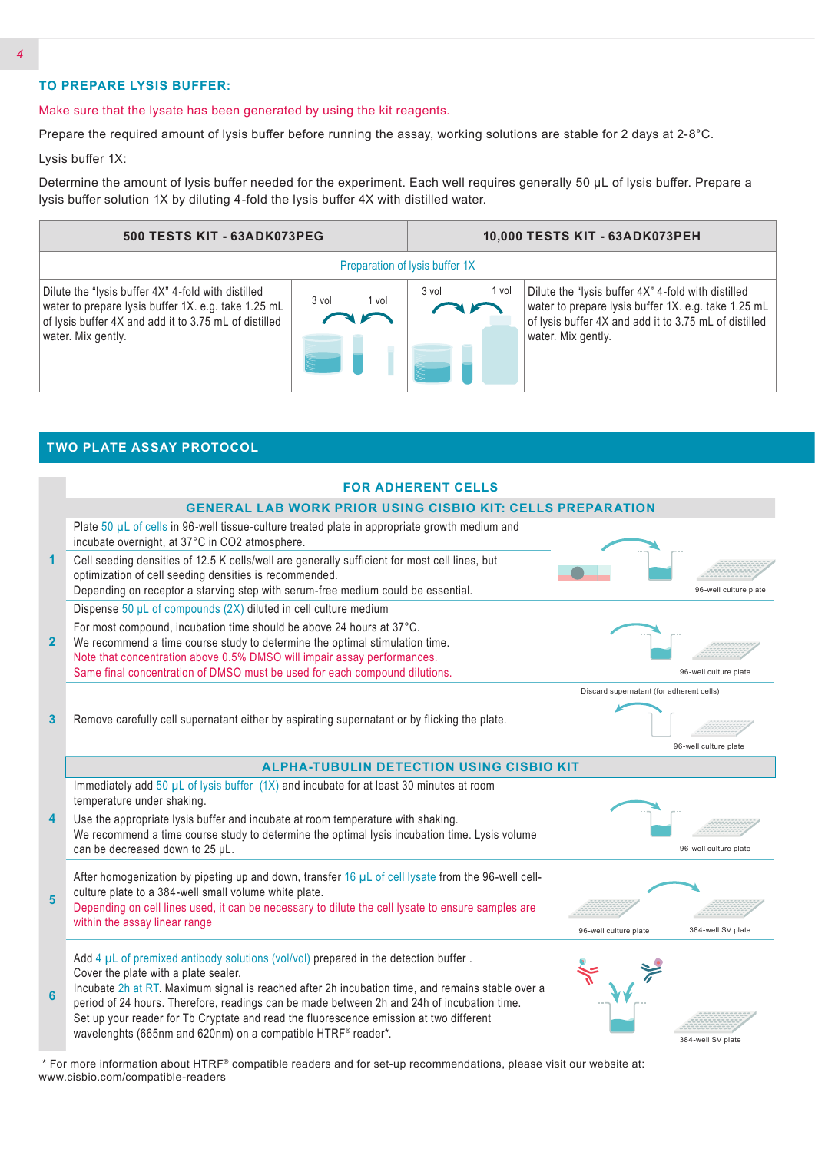### **TO PREPARE LYSIS BUFFER:**

**TWO PLATE ASSAY PROTOCOL**

#### Make sure that the lysate has been generated by using the kit reagents.

Prepare the required amount of lysis buffer before running the assay, working solutions are stable for 2 days at 2-8°C.

Lysis buffer 1X:

Determine the amount of lysis buffer needed for the experiment. Each well requires generally 50 µL of lysis buffer. Prepare a lysis buffer solution 1X by diluting 4-fold the lysis buffer 4X with distilled water.



|                | <b>FOR ADHERENT CELLS</b>                                                                                                                                                                      |                                          |                       |
|----------------|------------------------------------------------------------------------------------------------------------------------------------------------------------------------------------------------|------------------------------------------|-----------------------|
|                | <b>GENERAL LAB WORK PRIOR USING CISBIO KIT: CELLS PREPARATION</b><br>Plate 50 µL of cells in 96-well tissue-culture treated plate in appropriate growth medium and                             |                                          |                       |
|                | incubate overnight, at 37°C in CO2 atmosphere.                                                                                                                                                 |                                          |                       |
| 1              | Cell seeding densities of 12.5 K cells/well are generally sufficient for most cell lines, but<br>optimization of cell seeding densities is recommended.                                        |                                          |                       |
|                | Depending on receptor a starving step with serum-free medium could be essential.                                                                                                               |                                          | 96-well culture plate |
|                | Dispense 50 µL of compounds (2X) diluted in cell culture medium                                                                                                                                |                                          |                       |
| 2 <sup>2</sup> | For most compound, incubation time should be above 24 hours at 37°C.<br>We recommend a time course study to determine the optimal stimulation time.                                            |                                          |                       |
|                | Note that concentration above 0.5% DMSO will impair assay performances.                                                                                                                        |                                          |                       |
|                | Same final concentration of DMSO must be used for each compound dilutions.                                                                                                                     |                                          | 96-well culture plate |
|                |                                                                                                                                                                                                | Discard supernatant (for adherent cells) |                       |
| 3              | Remove carefully cell supernatant either by aspirating supernatant or by flicking the plate.                                                                                                   |                                          |                       |
|                |                                                                                                                                                                                                |                                          | 96-well culture plate |
|                | <b>ALPHA-TUBULIN DETECTION USING CISBIO KIT</b>                                                                                                                                                |                                          |                       |
|                | Immediately add $50 \mu L$ of lysis buffer $(1X)$ and incubate for at least 30 minutes at room<br>temperature under shaking.                                                                   |                                          |                       |
| 4              | Use the appropriate lysis buffer and incubate at room temperature with shaking.                                                                                                                |                                          |                       |
|                | We recommend a time course study to determine the optimal lysis incubation time. Lysis volume<br>can be decreased down to 25 µL.                                                               |                                          | 96-well culture plate |
|                | After homogenization by pipeting up and down, transfer 16 $\mu$ L of cell lysate from the 96-well cell-                                                                                        |                                          |                       |
| 5              | culture plate to a 384-well small volume white plate.<br>Depending on cell lines used, it can be necessary to dilute the cell lysate to ensure samples are                                     |                                          |                       |
|                | within the assay linear range                                                                                                                                                                  | 96-well culture plate                    | 384-well SV plate     |
|                | Add $4 \mu L$ of premixed antibody solutions (vol/vol) prepared in the detection buffer.                                                                                                       |                                          |                       |
|                | Cover the plate with a plate sealer.                                                                                                                                                           |                                          |                       |
| 6              | Incubate 2h at RT. Maximum signal is reached after 2h incubation time, and remains stable over a<br>period of 24 hours. Therefore, readings can be made between 2h and 24h of incubation time. |                                          |                       |
|                | Set up your reader for Tb Cryptate and read the fluorescence emission at two different<br>wavelenghts (665nm and 620nm) on a compatible HTRF® reader*.                                         |                                          |                       |
|                |                                                                                                                                                                                                |                                          |                       |

 \* For more information about HTRF® compatible readers and for set-up recommendations, please visit our website at: www.cisbio.com/compatible-readers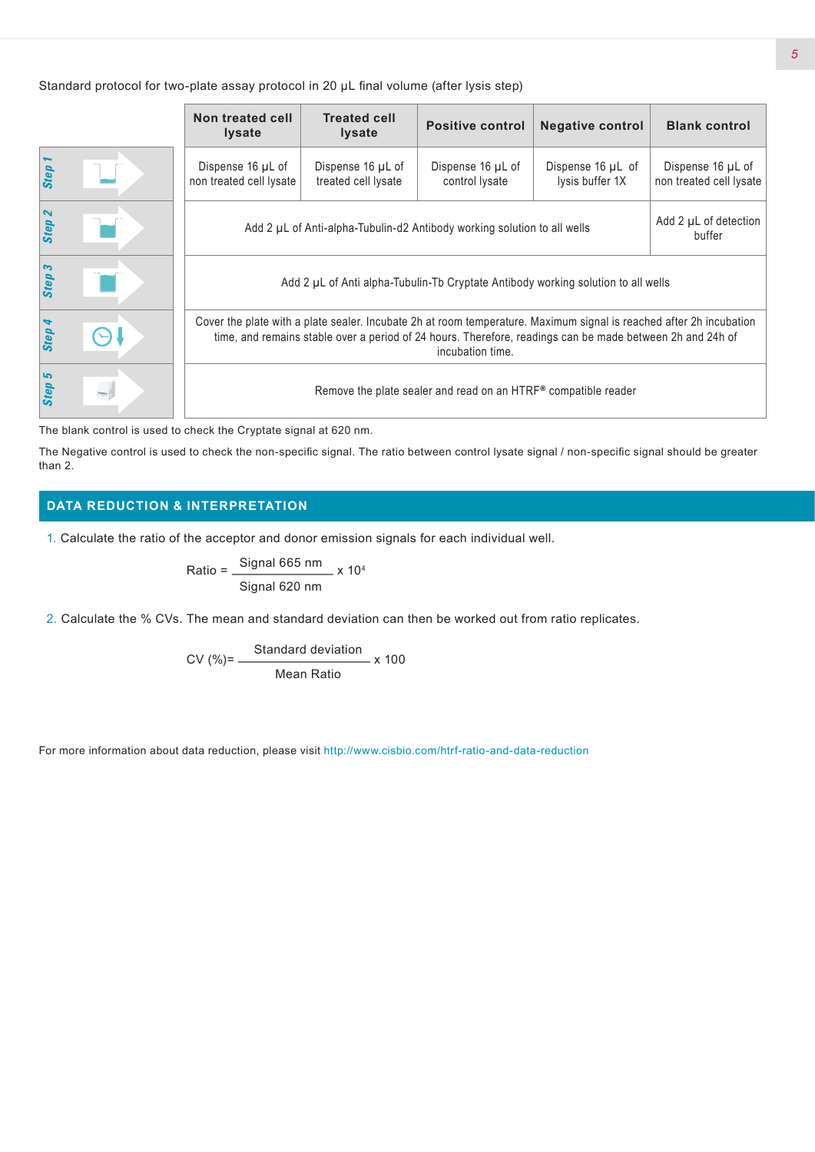Standard protocol for two-plate assay protocol in 20 µL final volume (after lysis step)

|             | Non treated cell<br><b>Iysate</b>                                                                                                                                                                                                                    | <b>Treated cell</b><br><b>Iysate</b>     | <b>Positive control</b>             | <b>Negative control</b>              | <b>Blank control</b>                         |
|-------------|------------------------------------------------------------------------------------------------------------------------------------------------------------------------------------------------------------------------------------------------------|------------------------------------------|-------------------------------------|--------------------------------------|----------------------------------------------|
| <b>Step</b> | Dispense 16 µL of<br>non treated cell lysate                                                                                                                                                                                                         | Dispense 16 µL of<br>treated cell lysate | Dispense 16 µL of<br>control lysate | Dispense 16 µL of<br>lysis buffer 1X | Dispense 16 µL of<br>non treated cell lysate |
| Step 2      | Add 2 µL of Anti-alpha-Tubulin-d2 Antibody working solution to all wells<br>buffer                                                                                                                                                                   |                                          |                                     |                                      | Add 2 µL of detection                        |
| Step 3      | Add 2 µL of Anti alpha-Tubulin-Tb Cryptate Antibody working solution to all wells                                                                                                                                                                    |                                          |                                     |                                      |                                              |
| Step 4      | Cover the plate with a plate sealer. Incubate 2h at room temperature. Maximum signal is reached after 2h incubation<br>time, and remains stable over a period of 24 hours. Therefore, readings can be made between 2h and 24h of<br>incubation time. |                                          |                                     |                                      |                                              |
| Step 5      | Remove the plate sealer and read on an HTRF® compatible reader                                                                                                                                                                                       |                                          |                                     |                                      |                                              |

The blank control is used to check the Cryptate signal at 620 nm.

The Negative control is used to check the non-specific signal. The ratio between control lysate signal / non-specific signal should be greater than 2.

## **DATA REDUCTION & INTERPRETATION**

1. Calculate the ratio of the acceptor and donor emission signals for each individual well.

Ratio = 
$$
\frac{\text{Signal 665 nm}}{\text{Signal 620 nm}} \times 10^4
$$

2. Calculate the % CVs. The mean and standard deviation can then be worked out from ratio replicates.

$$
CV (%) = \frac{Standard deviation}{Mean Ratio} \times 100
$$

For more information about data reduction, please visit http://www.cisbio.com/htrf-ratio-and-data-reduction